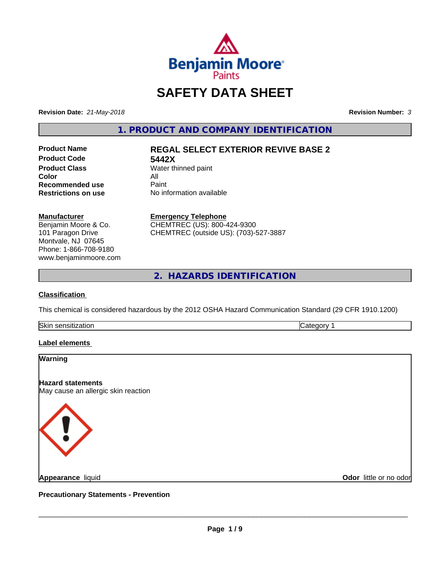

# **SAFETY DATA SHEET**

**Revision Date:** *21-May-2018* **Revision Number:** *3*

**1. PRODUCT AND COMPANY IDENTIFICATION**

**Product Code 5442X Product Class** Water thinned paint<br> **Color Color** All **Recommended use** Paint<br> **Restrictions on use** No inf

# **Product Name REGAL SELECT EXTERIOR REVIVE BASE 2**

**No information available** 

#### **Manufacturer**

Benjamin Moore & Co. 101 Paragon Drive Montvale, NJ 07645 Phone: 1-866-708-9180 www.benjaminmoore.com

#### **Emergency Telephone**

CHEMTREC (US): 800-424-9300 CHEMTREC (outside US): (703)-527-3887

**2. HAZARDS IDENTIFICATION**

### **Classification**

This chemical is considered hazardous by the 2012 OSHA Hazard Communication Standard (29 CFR 1910.1200)

| Skir       | $\sim$ |
|------------|--------|
| sitization | - -    |
| 580500     | eaor   |
|            |        |

# **Label elements**

#### **Warning**

**Hazard statements**

May cause an allergic skin reaction



**Appearance** liquid

**Odor** little or no odor

**Precautionary Statements - Prevention**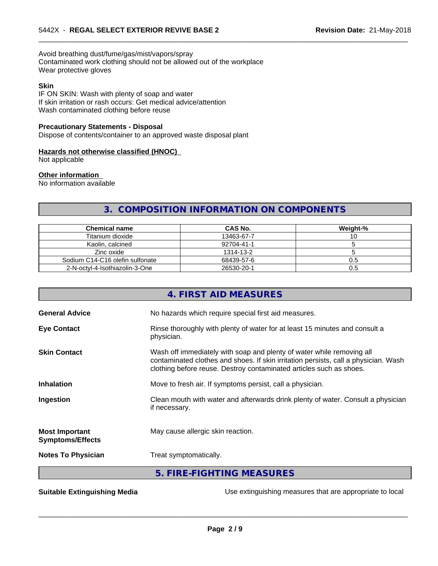Avoid breathing dust/fume/gas/mist/vapors/spray Contaminated work clothing should not be allowed out of the workplace Wear protective gloves

#### **Skin**

IF ON SKIN: Wash with plenty of soap and water If skin irritation or rash occurs: Get medical advice/attention Wash contaminated clothing before reuse

#### **Precautionary Statements - Disposal**

Dispose of contents/container to an approved waste disposal plant

#### **Hazards not otherwise classified (HNOC)**

Not applicable

#### **Other information**

No information available

# **3. COMPOSITION INFORMATION ON COMPONENTS**

 $\overline{\phantom{a}}$  ,  $\overline{\phantom{a}}$  ,  $\overline{\phantom{a}}$  ,  $\overline{\phantom{a}}$  ,  $\overline{\phantom{a}}$  ,  $\overline{\phantom{a}}$  ,  $\overline{\phantom{a}}$  ,  $\overline{\phantom{a}}$  ,  $\overline{\phantom{a}}$  ,  $\overline{\phantom{a}}$  ,  $\overline{\phantom{a}}$  ,  $\overline{\phantom{a}}$  ,  $\overline{\phantom{a}}$  ,  $\overline{\phantom{a}}$  ,  $\overline{\phantom{a}}$  ,  $\overline{\phantom{a}}$ 

| <b>Chemical name</b>            | CAS No.    | Weight-% |
|---------------------------------|------------|----------|
| Titanium dioxide                | 13463-67-7 | ◡        |
| Kaolin, calcined                | 92704-41-1 |          |
| Zinc oxide                      | 1314-13-2  |          |
| Sodium C14-C16 olefin sulfonate | 68439-57-6 | U.5      |
| 2-N-octvl-4-Isothiazolin-3-One  | 26530-20-1 | U.S      |

| Rinse thoroughly with plenty of water for at least 15 minutes and consult a                                                                                                                                                         |
|-------------------------------------------------------------------------------------------------------------------------------------------------------------------------------------------------------------------------------------|
| Wash off immediately with soap and plenty of water while removing all<br>contaminated clothes and shoes. If skin irritation persists, call a physician. Wash<br>clothing before reuse. Destroy contaminated articles such as shoes. |
|                                                                                                                                                                                                                                     |
| Clean mouth with water and afterwards drink plenty of water. Consult a physician                                                                                                                                                    |
|                                                                                                                                                                                                                                     |
|                                                                                                                                                                                                                                     |
|                                                                                                                                                                                                                                     |
|                                                                                                                                                                                                                                     |

**Suitable Extinguishing Media** Use extinguishing measures that are appropriate to local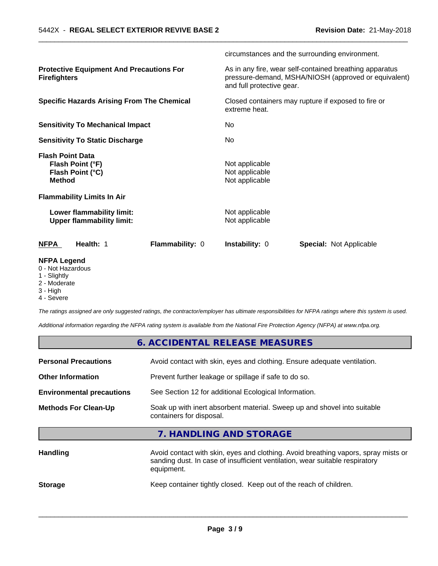|                                                                                  |                 |                                                    | circumstances and the surrounding environment.                                                                  |
|----------------------------------------------------------------------------------|-----------------|----------------------------------------------------|-----------------------------------------------------------------------------------------------------------------|
| <b>Protective Equipment And Precautions For</b><br><b>Firefighters</b>           |                 | and full protective gear.                          | As in any fire, wear self-contained breathing apparatus<br>pressure-demand, MSHA/NIOSH (approved or equivalent) |
| <b>Specific Hazards Arising From The Chemical</b>                                |                 | extreme heat.                                      | Closed containers may rupture if exposed to fire or                                                             |
| <b>Sensitivity To Mechanical Impact</b>                                          |                 | No.                                                |                                                                                                                 |
| <b>Sensitivity To Static Discharge</b>                                           |                 | No                                                 |                                                                                                                 |
| <b>Flash Point Data</b><br>Flash Point (°F)<br>Flash Point (°C)<br><b>Method</b> |                 | Not applicable<br>Not applicable<br>Not applicable |                                                                                                                 |
| <b>Flammability Limits In Air</b>                                                |                 |                                                    |                                                                                                                 |
| Lower flammability limit:<br><b>Upper flammability limit:</b>                    |                 | Not applicable<br>Not applicable                   |                                                                                                                 |
| Health: 1<br><b>NFPA</b>                                                         | Flammability: 0 | <b>Instability: 0</b>                              | <b>Special: Not Applicable</b>                                                                                  |
| <b>NFPA Legend</b><br>0 - Not Hazardous<br>1 - Slightly                          |                 |                                                    |                                                                                                                 |

 $\overline{\phantom{a}}$  ,  $\overline{\phantom{a}}$  ,  $\overline{\phantom{a}}$  ,  $\overline{\phantom{a}}$  ,  $\overline{\phantom{a}}$  ,  $\overline{\phantom{a}}$  ,  $\overline{\phantom{a}}$  ,  $\overline{\phantom{a}}$  ,  $\overline{\phantom{a}}$  ,  $\overline{\phantom{a}}$  ,  $\overline{\phantom{a}}$  ,  $\overline{\phantom{a}}$  ,  $\overline{\phantom{a}}$  ,  $\overline{\phantom{a}}$  ,  $\overline{\phantom{a}}$  ,  $\overline{\phantom{a}}$ 

- 1 Slightly
- 2 Moderate
- 3 High
- 4 Severe

*The ratings assigned are only suggested ratings, the contractor/employer has ultimate responsibilities for NFPA ratings where this system is used.*

*Additional information regarding the NFPA rating system is available from the National Fire Protection Agency (NFPA) at www.nfpa.org.*

|                                  | 6. ACCIDENTAL RELEASE MEASURES                                                                                                                                                   |
|----------------------------------|----------------------------------------------------------------------------------------------------------------------------------------------------------------------------------|
| <b>Personal Precautions</b>      | Avoid contact with skin, eyes and clothing. Ensure adequate ventilation.                                                                                                         |
| <b>Other Information</b>         | Prevent further leakage or spillage if safe to do so.                                                                                                                            |
| <b>Environmental precautions</b> | See Section 12 for additional Ecological Information.                                                                                                                            |
| <b>Methods For Clean-Up</b>      | Soak up with inert absorbent material. Sweep up and shovel into suitable<br>containers for disposal.                                                                             |
|                                  | 7. HANDLING AND STORAGE                                                                                                                                                          |
| <b>Handling</b>                  | Avoid contact with skin, eyes and clothing. Avoid breathing vapors, spray mists or<br>sanding dust. In case of insufficient ventilation, wear suitable respiratory<br>equipment. |

**Storage** Keep container tightly closed. Keep out of the reach of children.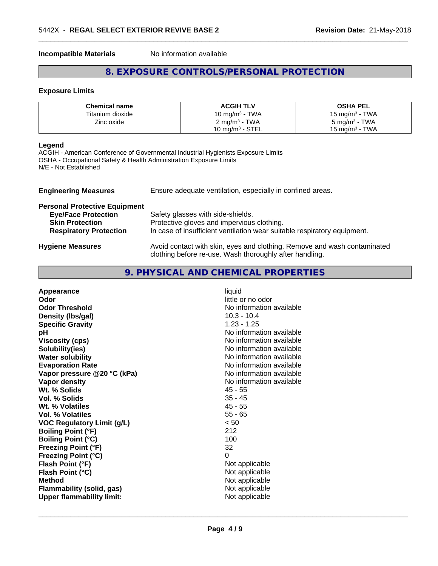**Incompatible Materials** No information available

# **8. EXPOSURE CONTROLS/PERSONAL PROTECTION**

 $\overline{\phantom{a}}$  ,  $\overline{\phantom{a}}$  ,  $\overline{\phantom{a}}$  ,  $\overline{\phantom{a}}$  ,  $\overline{\phantom{a}}$  ,  $\overline{\phantom{a}}$  ,  $\overline{\phantom{a}}$  ,  $\overline{\phantom{a}}$  ,  $\overline{\phantom{a}}$  ,  $\overline{\phantom{a}}$  ,  $\overline{\phantom{a}}$  ,  $\overline{\phantom{a}}$  ,  $\overline{\phantom{a}}$  ,  $\overline{\phantom{a}}$  ,  $\overline{\phantom{a}}$  ,  $\overline{\phantom{a}}$ 

#### **Exposure Limits**

| <b>Chemical name</b> | <b>ACGIH TLV</b>            | <b>OSHA PEL</b>          |
|----------------------|-----------------------------|--------------------------|
| Titanium dioxide     | 10 mg/m $3$ - TWA           | 15 mg/m $3$ - TWA        |
| Zinc oxide           | $2$ mg/m <sup>3</sup> - TWA | $5 \text{ mg/m}^3$ - TWA |
|                      | 10 mg/m $3$ - STEL          | 15 mg/m $^3$ - TWA       |

#### **Legend**

ACGIH - American Conference of Governmental Industrial Hygienists Exposure Limits OSHA - Occupational Safety & Health Administration Exposure Limits N/E - Not Established

| <b>Engineering Measures</b>          | Ensure adequate ventilation, especially in confined areas.                                                                          |
|--------------------------------------|-------------------------------------------------------------------------------------------------------------------------------------|
| <b>Personal Protective Equipment</b> |                                                                                                                                     |
| <b>Eye/Face Protection</b>           | Safety glasses with side-shields.                                                                                                   |
| <b>Skin Protection</b>               | Protective gloves and impervious clothing.                                                                                          |
| <b>Respiratory Protection</b>        | In case of insufficient ventilation wear suitable respiratory equipment.                                                            |
| <b>Hygiene Measures</b>              | Avoid contact with skin, eyes and clothing. Remove and wash contaminated<br>clothing before re-use. Wash thoroughly after handling. |

# **9. PHYSICAL AND CHEMICAL PROPERTIES**

| Appearance                        | liquid                   |
|-----------------------------------|--------------------------|
| Odor                              | little or no odor        |
| <b>Odor Threshold</b>             | No information available |
| Density (Ibs/gal)                 | $10.3 - 10.4$            |
| <b>Specific Gravity</b>           | $1.23 - 1.25$            |
| pH                                | No information available |
| <b>Viscosity (cps)</b>            | No information available |
| Solubility(ies)                   | No information available |
| <b>Water solubility</b>           | No information available |
| <b>Evaporation Rate</b>           | No information available |
| Vapor pressure @20 °C (kPa)       | No information available |
| Vapor density                     | No information available |
| Wt. % Solids                      | $45 - 55$                |
| <b>Vol. % Solids</b>              | $35 - 45$                |
| Wt. % Volatiles                   | $45 - 55$                |
| Vol. % Volatiles                  | $55 - 65$                |
| <b>VOC Regulatory Limit (g/L)</b> | < 50                     |
| <b>Boiling Point (°F)</b>         | 212                      |
| <b>Boiling Point (°C)</b>         | 100                      |
| <b>Freezing Point (°F)</b>        | 32                       |
| <b>Freezing Point (°C)</b>        | 0                        |
| Flash Point (°F)                  | Not applicable           |
| Flash Point (°C)                  | Not applicable           |
| <b>Method</b>                     | Not applicable           |
| <b>Flammability (solid, gas)</b>  | Not applicable           |
| <b>Upper flammability limit:</b>  | Not applicable           |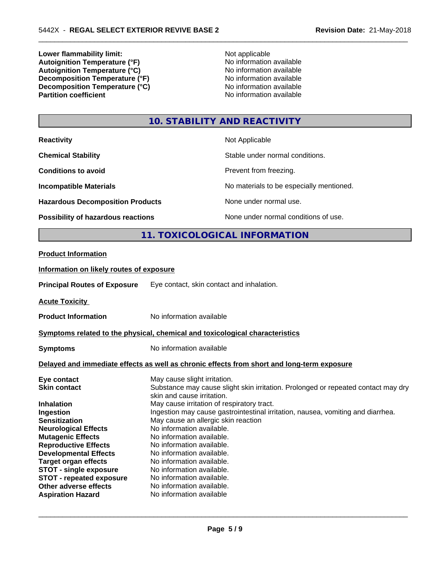**Lower flammability limit:**<br> **Autoignition Temperature (°F)**<br>
Mo information available **Autoignition Temperature (°F)** No information available **Autoignition Temperature (°C)** No information available **Decomposition Temperature (°F)**<br> **Decomposition Temperature (°C)**<br>
No information available<br>
No information available **Decomposition Temperature**  $\hat{c}$ **<sup>o</sup>C**)<br>**Partition coefficient** 

**No information available** 

 $\overline{\phantom{a}}$  ,  $\overline{\phantom{a}}$  ,  $\overline{\phantom{a}}$  ,  $\overline{\phantom{a}}$  ,  $\overline{\phantom{a}}$  ,  $\overline{\phantom{a}}$  ,  $\overline{\phantom{a}}$  ,  $\overline{\phantom{a}}$  ,  $\overline{\phantom{a}}$  ,  $\overline{\phantom{a}}$  ,  $\overline{\phantom{a}}$  ,  $\overline{\phantom{a}}$  ,  $\overline{\phantom{a}}$  ,  $\overline{\phantom{a}}$  ,  $\overline{\phantom{a}}$  ,  $\overline{\phantom{a}}$ 

# **10. STABILITY AND REACTIVITY**

| <b>Reactivity</b>                                                            |                                           | Not Applicable                           |
|------------------------------------------------------------------------------|-------------------------------------------|------------------------------------------|
| <b>Chemical Stability</b>                                                    |                                           | Stable under normal conditions.          |
| <b>Conditions to avoid</b>                                                   |                                           | Prevent from freezing.                   |
| <b>Incompatible Materials</b>                                                |                                           | No materials to be especially mentioned. |
| <b>Hazardous Decomposition Products</b>                                      |                                           | None under normal use.                   |
| <b>Possibility of hazardous reactions</b>                                    |                                           | None under normal conditions of use.     |
|                                                                              |                                           | 11. TOXICOLOGICAL INFORMATION            |
| <b>Product Information</b>                                                   |                                           |                                          |
| Information on likely routes of exposure                                     |                                           |                                          |
| <b>Principal Routes of Exposure</b>                                          | Eye contact, skin contact and inhalation. |                                          |
| <b>Acute Toxicity</b>                                                        |                                           |                                          |
| <b>Product Information</b>                                                   | No information available                  |                                          |
| Symptoms related to the physical, chemical and toxicological characteristics |                                           |                                          |

| <b>Symptoms</b>                 | No information available                                                                                        |
|---------------------------------|-----------------------------------------------------------------------------------------------------------------|
|                                 | Delayed and immediate effects as well as chronic effects from short and long-term exposure                      |
| Eye contact                     | May cause slight irritation.                                                                                    |
| <b>Skin contact</b>             | Substance may cause slight skin irritation. Prolonged or repeated contact may dry<br>skin and cause irritation. |
| <b>Inhalation</b>               | May cause irritation of respiratory tract.                                                                      |
| Ingestion                       | Ingestion may cause gastrointestinal irritation, nausea, vomiting and diarrhea.                                 |
| <b>Sensitization</b>            | May cause an allergic skin reaction                                                                             |
| <b>Neurological Effects</b>     | No information available.                                                                                       |
| <b>Mutagenic Effects</b>        | No information available.                                                                                       |
| <b>Reproductive Effects</b>     | No information available.                                                                                       |
| <b>Developmental Effects</b>    | No information available.                                                                                       |
| <b>Target organ effects</b>     | No information available.                                                                                       |
| <b>STOT - single exposure</b>   | No information available.                                                                                       |
| <b>STOT - repeated exposure</b> | No information available.                                                                                       |
| Other adverse effects           | No information available.                                                                                       |
| <b>Aspiration Hazard</b>        | No information available                                                                                        |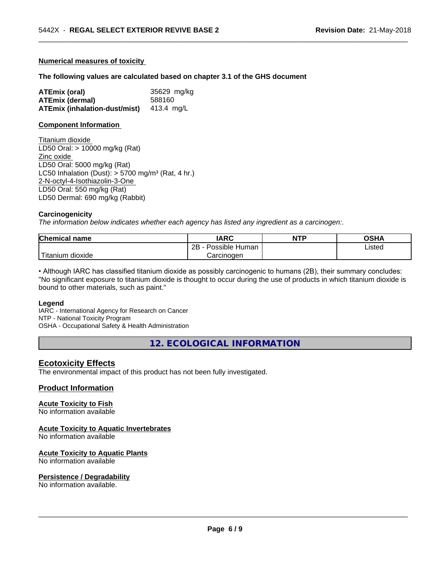#### **Numerical measures of toxicity**

#### **The following values are calculated based on chapter 3.1 of the GHS document**

| ATEmix (oral)                            | 35629 mg/kg |
|------------------------------------------|-------------|
| <b>ATEmix (dermal)</b>                   | 588160      |
| ATEmix (inhalation-dust/mist) 413.4 mg/L |             |

#### **Component Information**

Titanium dioxide LD50 Oral: > 10000 mg/kg (Rat) Zinc oxide LD50 Oral: 5000 mg/kg (Rat) LC50 Inhalation (Dust):  $> 5700$  mg/m<sup>3</sup> (Rat, 4 hr.) 2-N-octyl-4-Isothiazolin-3-One LD50 Oral: 550 mg/kg (Rat) LD50 Dermal: 690 mg/kg (Rabbit)

#### **Carcinogenicity**

*The information below indicateswhether each agency has listed any ingredient as a carcinogen:.*

| <b>Chemical name</b>    | <b>IARC</b>          | <b>NTP</b> | OSHA   |
|-------------------------|----------------------|------------|--------|
|                         | 2B<br>Possible Human |            | Listed |
| 'Titanium<br>n dioxide. | Carcinoɑen           |            |        |

 $\overline{\phantom{a}}$  ,  $\overline{\phantom{a}}$  ,  $\overline{\phantom{a}}$  ,  $\overline{\phantom{a}}$  ,  $\overline{\phantom{a}}$  ,  $\overline{\phantom{a}}$  ,  $\overline{\phantom{a}}$  ,  $\overline{\phantom{a}}$  ,  $\overline{\phantom{a}}$  ,  $\overline{\phantom{a}}$  ,  $\overline{\phantom{a}}$  ,  $\overline{\phantom{a}}$  ,  $\overline{\phantom{a}}$  ,  $\overline{\phantom{a}}$  ,  $\overline{\phantom{a}}$  ,  $\overline{\phantom{a}}$ 

• Although IARC has classified titanium dioxide as possibly carcinogenic to humans (2B), their summary concludes: "No significant exposure to titanium dioxide is thought to occur during the use of products in which titanium dioxide is bound to other materials, such as paint."

#### **Legend**

IARC - International Agency for Research on Cancer NTP - National Toxicity Program OSHA - Occupational Safety & Health Administration

**12. ECOLOGICAL INFORMATION**

### **Ecotoxicity Effects**

The environmental impact of this product has not been fully investigated.

#### **Product Information**

#### **Acute Toxicity to Fish**

No information available

#### **Acute Toxicity to Aquatic Invertebrates**

No information available

#### **Acute Toxicity to Aquatic Plants**

No information available

#### **Persistence / Degradability**

No information available.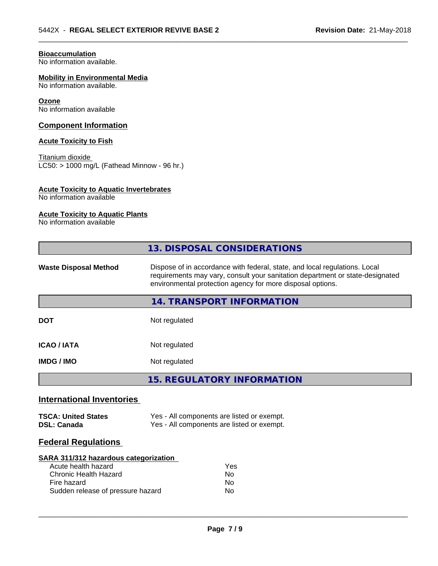### **Bioaccumulation**

No information available.

# **Mobility in Environmental Media**

No information available.

#### **Ozone**

No information available

### **Component Information**

#### **Acute Toxicity to Fish**

Titanium dioxide  $\overline{\text{LC50:}}$  > 1000 mg/L (Fathead Minnow - 96 hr.)

#### **Acute Toxicity to Aquatic Invertebrates**

No information available

# **Acute Toxicity to Aquatic Plants**

No information available

|                                                                                                                                                  | 13. DISPOSAL CONSIDERATIONS                                                                                                                                                                                               |  |  |  |
|--------------------------------------------------------------------------------------------------------------------------------------------------|---------------------------------------------------------------------------------------------------------------------------------------------------------------------------------------------------------------------------|--|--|--|
| <b>Waste Disposal Method</b>                                                                                                                     | Dispose of in accordance with federal, state, and local regulations. Local<br>requirements may vary, consult your sanitation department or state-designated<br>environmental protection agency for more disposal options. |  |  |  |
|                                                                                                                                                  | 14. TRANSPORT INFORMATION                                                                                                                                                                                                 |  |  |  |
| <b>DOT</b>                                                                                                                                       | Not regulated                                                                                                                                                                                                             |  |  |  |
| <b>ICAO / IATA</b>                                                                                                                               | Not regulated                                                                                                                                                                                                             |  |  |  |
| <b>IMDG/IMO</b>                                                                                                                                  | Not regulated                                                                                                                                                                                                             |  |  |  |
|                                                                                                                                                  | <b>15. REGULATORY INFORMATION</b>                                                                                                                                                                                         |  |  |  |
| <b>International Inventories</b>                                                                                                                 |                                                                                                                                                                                                                           |  |  |  |
| <b>TSCA: United States</b><br><b>DSL: Canada</b>                                                                                                 | Yes - All components are listed or exempt.<br>Yes - All components are listed or exempt.                                                                                                                                  |  |  |  |
| <b>Federal Regulations</b>                                                                                                                       |                                                                                                                                                                                                                           |  |  |  |
| SARA 311/312 hazardous categorization<br>Acute health hazard<br><b>Chronic Health Hazard</b><br>Fire hazard<br>Sudden release of pressure hazard | Yes<br>N <sub>o</sub><br>N <sub>0</sub><br>No                                                                                                                                                                             |  |  |  |

 $\overline{\phantom{a}}$  ,  $\overline{\phantom{a}}$  ,  $\overline{\phantom{a}}$  ,  $\overline{\phantom{a}}$  ,  $\overline{\phantom{a}}$  ,  $\overline{\phantom{a}}$  ,  $\overline{\phantom{a}}$  ,  $\overline{\phantom{a}}$  ,  $\overline{\phantom{a}}$  ,  $\overline{\phantom{a}}$  ,  $\overline{\phantom{a}}$  ,  $\overline{\phantom{a}}$  ,  $\overline{\phantom{a}}$  ,  $\overline{\phantom{a}}$  ,  $\overline{\phantom{a}}$  ,  $\overline{\phantom{a}}$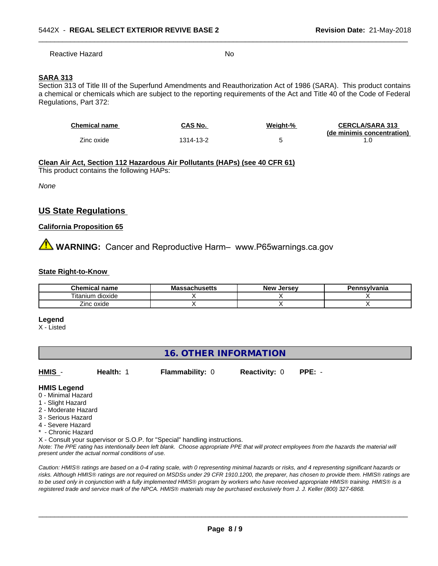Reactive Hazard No

 $\overline{\phantom{a}}$  ,  $\overline{\phantom{a}}$  ,  $\overline{\phantom{a}}$  ,  $\overline{\phantom{a}}$  ,  $\overline{\phantom{a}}$  ,  $\overline{\phantom{a}}$  ,  $\overline{\phantom{a}}$  ,  $\overline{\phantom{a}}$  ,  $\overline{\phantom{a}}$  ,  $\overline{\phantom{a}}$  ,  $\overline{\phantom{a}}$  ,  $\overline{\phantom{a}}$  ,  $\overline{\phantom{a}}$  ,  $\overline{\phantom{a}}$  ,  $\overline{\phantom{a}}$  ,  $\overline{\phantom{a}}$ 

# **SARA 313**

Section 313 of Title III of the Superfund Amendments and Reauthorization Act of 1986 (SARA). This product contains a chemical or chemicals which are subject to the reporting requirements of the Act and Title 40 of the Code of Federal Regulations, Part 372:

| <b>Chemical name</b> | CAS No.   | Weight-% | <b>CERCLA/SARA 313</b>     |
|----------------------|-----------|----------|----------------------------|
| Zinc oxide           | 1314-13-2 |          | (de minimis concentration) |

# **Clean Air Act,Section 112 Hazardous Air Pollutants (HAPs) (see 40 CFR 61)**

This product contains the following HAPs:

*None*

# **US State Regulations**

#### **California Proposition 65**

**AVIMARNING:** Cancer and Reproductive Harm– www.P65warnings.ca.gov

#### **State Right-to-Know**

| <b>Chemical</b><br>name | <br>…aduπus <del>u</del> us<br>шo | Jersev<br><b>New</b> | <b>nsvivania</b> |
|-------------------------|-----------------------------------|----------------------|------------------|
| ⊺itanium<br>dioxide     |                                   |                      |                  |
| -<br>Zinc oxide         |                                   |                      |                  |

#### **Legend**

X - Listed

# **16. OTHER INFORMATION**

**HMIS** - **Health:** 1 **Flammability:** 0 **Reactivity:** 0 **PPE:** -

#### **HMIS Legend**

- 0 Minimal Hazard
- 1 Slight Hazard
- 2 Moderate Hazard
- 3 Serious Hazard
- 4 Severe Hazard
- \* Chronic Hazard
- X Consult your supervisor or S.O.P. for "Special" handling instructions.

*Note: The PPE rating has intentionally been left blank. Choose appropriate PPE that will protect employees from the hazards the material will present under the actual normal conditions of use.*

*Caution: HMISÒ ratings are based on a 0-4 rating scale, with 0 representing minimal hazards or risks, and 4 representing significant hazards or risks. Although HMISÒ ratings are not required on MSDSs under 29 CFR 1910.1200, the preparer, has chosen to provide them. HMISÒ ratings are to be used only in conjunction with a fully implemented HMISÒ program by workers who have received appropriate HMISÒ training. HMISÒ is a registered trade and service mark of the NPCA. HMISÒ materials may be purchased exclusively from J. J. Keller (800) 327-6868.*